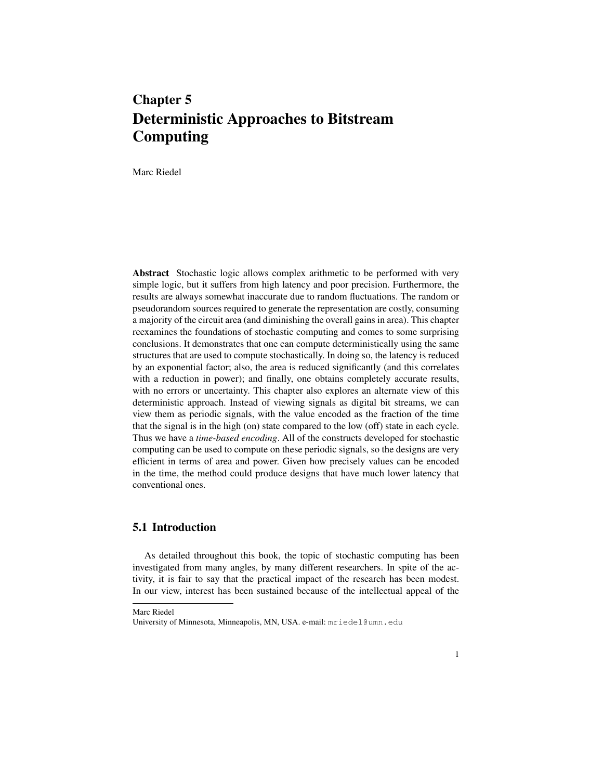# Chapter 5 Deterministic Approaches to Bitstream Computing

Marc Riedel

Abstract Stochastic logic allows complex arithmetic to be performed with very simple logic, but it suffers from high latency and poor precision. Furthermore, the results are always somewhat inaccurate due to random fluctuations. The random or pseudorandom sources required to generate the representation are costly, consuming a majority of the circuit area (and diminishing the overall gains in area). This chapter reexamines the foundations of stochastic computing and comes to some surprising conclusions. It demonstrates that one can compute deterministically using the same structures that are used to compute stochastically. In doing so, the latency is reduced by an exponential factor; also, the area is reduced significantly (and this correlates with a reduction in power); and finally, one obtains completely accurate results, with no errors or uncertainty. This chapter also explores an alternate view of this deterministic approach. Instead of viewing signals as digital bit streams, we can view them as periodic signals, with the value encoded as the fraction of the time that the signal is in the high (on) state compared to the low (off) state in each cycle. Thus we have a *time-based encoding*. All of the constructs developed for stochastic computing can be used to compute on these periodic signals, so the designs are very efficient in terms of area and power. Given how precisely values can be encoded in the time, the method could produce designs that have much lower latency that conventional ones.

# 5.1 Introduction

As detailed throughout this book, the topic of stochastic computing has been investigated from many angles, by many different researchers. In spite of the activity, it is fair to say that the practical impact of the research has been modest. In our view, interest has been sustained because of the intellectual appeal of the

Marc Riedel

University of Minnesota, Minneapolis, MN, USA. e-mail: mriedel@umn.edu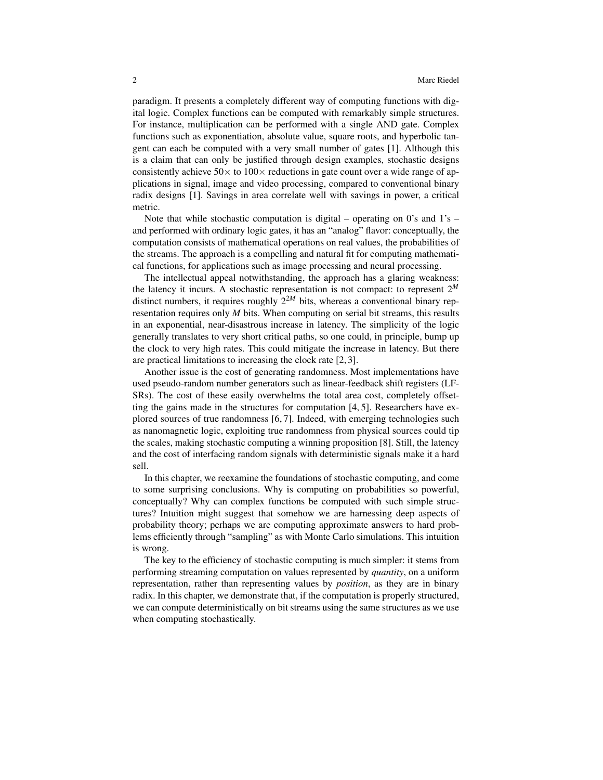paradigm. It presents a completely different way of computing functions with digital logic. Complex functions can be computed with remarkably simple structures. For instance, multiplication can be performed with a single AND gate. Complex functions such as exponentiation, absolute value, square roots, and hyperbolic tangent can each be computed with a very small number of gates [1]. Although this is a claim that can only be justified through design examples, stochastic designs consistently achieve  $50 \times$  to  $100 \times$  reductions in gate count over a wide range of applications in signal, image and video processing, compared to conventional binary radix designs [1]. Savings in area correlate well with savings in power, a critical metric.

Note that while stochastic computation is digital – operating on 0's and  $1$ 's – and performed with ordinary logic gates, it has an "analog" flavor: conceptually, the computation consists of mathematical operations on real values, the probabilities of the streams. The approach is a compelling and natural fit for computing mathematical functions, for applications such as image processing and neural processing.

The intellectual appeal notwithstanding, the approach has a glaring weakness: the latency it incurs. A stochastic representation is not compact: to represent  $2^M$ distinct numbers, it requires roughly  $2^{2M}$  bits, whereas a conventional binary representation requires only *M* bits. When computing on serial bit streams, this results in an exponential, near-disastrous increase in latency. The simplicity of the logic generally translates to very short critical paths, so one could, in principle, bump up the clock to very high rates. This could mitigate the increase in latency. But there are practical limitations to increasing the clock rate [2, 3].

Another issue is the cost of generating randomness. Most implementations have used pseudo-random number generators such as linear-feedback shift registers (LF-SRs). The cost of these easily overwhelms the total area cost, completely offsetting the gains made in the structures for computation  $[4, 5]$ . Researchers have explored sources of true randomness [6, 7]. Indeed, with emerging technologies such as nanomagnetic logic, exploiting true randomness from physical sources could tip the scales, making stochastic computing a winning proposition [8]. Still, the latency and the cost of interfacing random signals with deterministic signals make it a hard sell.

In this chapter, we reexamine the foundations of stochastic computing, and come to some surprising conclusions. Why is computing on probabilities so powerful, conceptually? Why can complex functions be computed with such simple structures? Intuition might suggest that somehow we are harnessing deep aspects of probability theory; perhaps we are computing approximate answers to hard problems efficiently through "sampling" as with Monte Carlo simulations. This intuition is wrong.

The key to the efficiency of stochastic computing is much simpler: it stems from performing streaming computation on values represented by *quantity*, on a uniform representation, rather than representing values by *position*, as they are in binary radix. In this chapter, we demonstrate that, if the computation is properly structured, we can compute deterministically on bit streams using the same structures as we use when computing stochastically.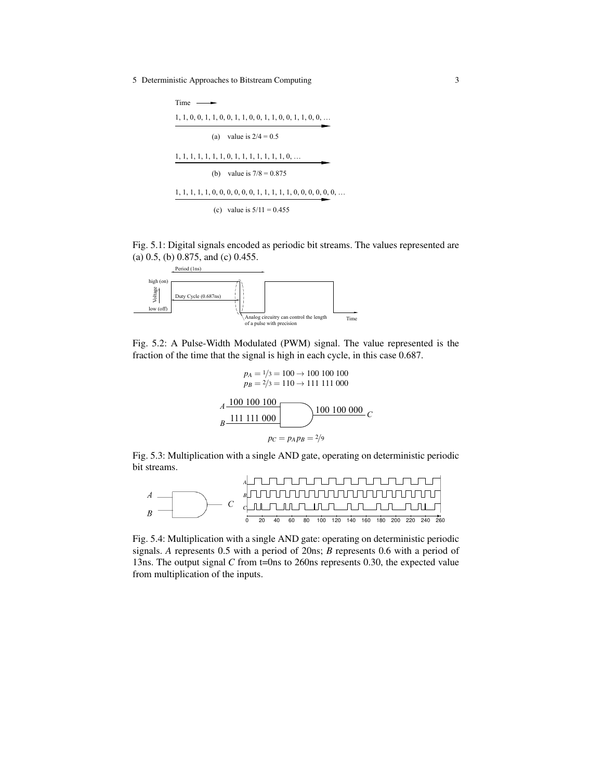5 Deterministic Approaches to Bitstream Computing 3

| Time                                                                 |
|----------------------------------------------------------------------|
| $1, 1, 0, 0, 1, 1, 0, 0, 1, 1, 0, 0, 1, 1, 0, 0, 1, 1, 0, 0, \ldots$ |
| (a) value is $2/4 = 0.5$                                             |
| $1, 1, 1, 1, 1, 1, 1, 0, 1, 1, 1, 1, 1, 1, 1, 0, \ldots$             |
| (b) value is $7/8 = 0.875$                                           |
| $1, 1, 1, 1, 1, 0, 0, 0, 0, 0, 0, 1, 1, 1, 1, 1, 0, 0, 0, 0, 0, 0, $ |
| (c) value is $5/11 = 0.455$                                          |

Fig. 5.1: Digital signals encoded as periodic bit streams. The values represented are (a) 0.5, (b) 0.875, and (c) 0.455.



Fig. 5.2: A Pulse-Width Modulated (PWM) signal. The value represented is the fraction of the time that the signal is high in each cycle, in this case 0.687.

$$
p_A = 1/3 = 100 \rightarrow 100\ 100\ 100
$$

$$
p_B = 2/3 = 110 \rightarrow 111\ 111\ 000
$$

$$
A \frac{100\ 100\ 100}{B \frac{111\ 111\ 000}{C}} \qquad \qquad \text{100\ 100\ 000}_{C}
$$

$$
p_C = p_A p_B = 2/9
$$

Fig. 5.3: Multiplication with a single AND gate, operating on deterministic periodic bit streams.



Fig. 5.4: Multiplication with a single AND gate: operating on deterministic periodic signals. *A* represents 0.5 with a period of 20ns; *B* represents 0.6 with a period of 13ns. The output signal *C* from t=0ns to 260ns represents 0.30, the expected value from multiplication of the inputs.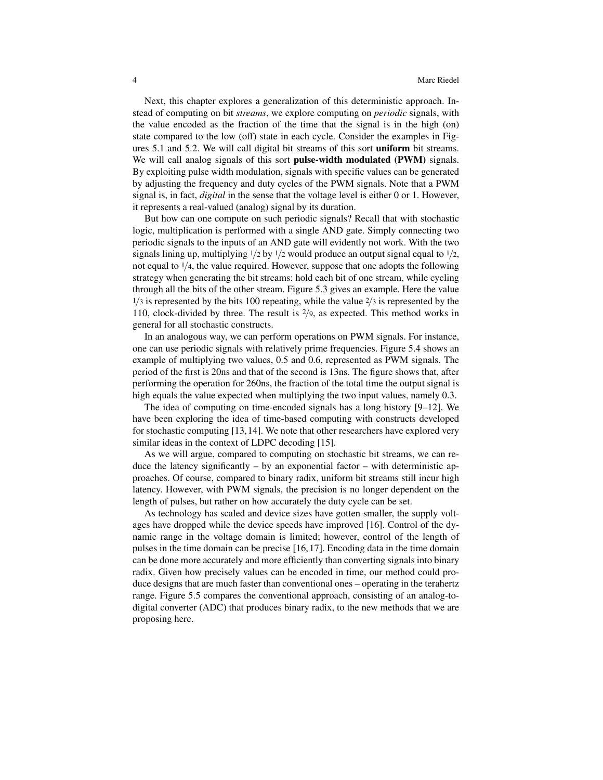Next, this chapter explores a generalization of this deterministic approach. Instead of computing on bit *streams*, we explore computing on *periodic* signals, with the value encoded as the fraction of the time that the signal is in the high (on) state compared to the low (off) state in each cycle. Consider the examples in Figures 5.1 and 5.2. We will call digital bit streams of this sort uniform bit streams. We will call analog signals of this sort **pulse-width modulated (PWM)** signals. By exploiting pulse width modulation, signals with specific values can be generated by adjusting the frequency and duty cycles of the PWM signals. Note that a PWM signal is, in fact, *digital* in the sense that the voltage level is either 0 or 1. However, it represents a real-valued (analog) signal by its duration.

But how can one compute on such periodic signals? Recall that with stochastic logic, multiplication is performed with a single AND gate. Simply connecting two periodic signals to the inputs of an AND gate will evidently not work. With the two signals lining up, multiplying  $1/2$  by  $1/2$  would produce an output signal equal to  $1/2$ , not equal to  $1/4$ , the value required. However, suppose that one adopts the following strategy when generating the bit streams: hold each bit of one stream, while cycling through all the bits of the other stream. Figure 5.3 gives an example. Here the value  $1/3$  is represented by the bits 100 repeating, while the value  $2/3$  is represented by the 110, clock-divided by three. The result is 2/9, as expected. This method works in general for all stochastic constructs.

In an analogous way, we can perform operations on PWM signals. For instance, one can use periodic signals with relatively prime frequencies. Figure 5.4 shows an example of multiplying two values, 0.5 and 0.6, represented as PWM signals. The period of the first is 20ns and that of the second is 13ns. The figure shows that, after performing the operation for 260ns, the fraction of the total time the output signal is high equals the value expected when multiplying the two input values, namely 0.3.

The idea of computing on time-encoded signals has a long history [9–12]. We have been exploring the idea of time-based computing with constructs developed for stochastic computing [13,14]. We note that other researchers have explored very similar ideas in the context of LDPC decoding [15].

As we will argue, compared to computing on stochastic bit streams, we can reduce the latency significantly – by an exponential factor – with deterministic approaches. Of course, compared to binary radix, uniform bit streams still incur high latency. However, with PWM signals, the precision is no longer dependent on the length of pulses, but rather on how accurately the duty cycle can be set.

As technology has scaled and device sizes have gotten smaller, the supply voltages have dropped while the device speeds have improved [16]. Control of the dynamic range in the voltage domain is limited; however, control of the length of pulses in the time domain can be precise [16, 17]. Encoding data in the time domain can be done more accurately and more efficiently than converting signals into binary radix. Given how precisely values can be encoded in time, our method could produce designs that are much faster than conventional ones – operating in the terahertz range. Figure 5.5 compares the conventional approach, consisting of an analog-todigital converter (ADC) that produces binary radix, to the new methods that we are proposing here.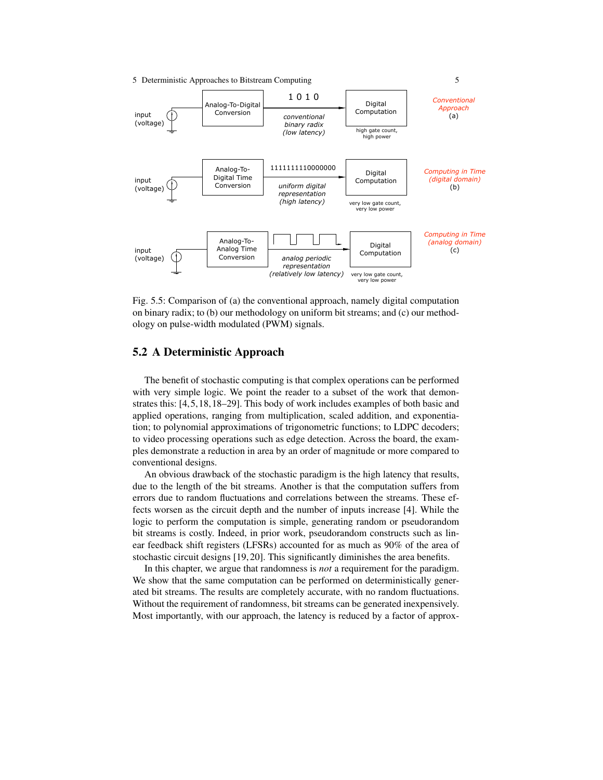



Fig. 5.5: Comparison of (a) the conventional approach, namely digital computation on binary radix; to (b) our methodology on uniform bit streams; and (c) our methodology on pulse-width modulated (PWM) signals.

# 5.2 A Deterministic Approach

The benefit of stochastic computing is that complex operations can be performed with very simple logic. We point the reader to a subset of the work that demonstrates this: [4,5,18,18–29]. This body of work includes examples of both basic and applied operations, ranging from multiplication, scaled addition, and exponentiation; to polynomial approximations of trigonometric functions; to LDPC decoders; to video processing operations such as edge detection. Across the board, the examples demonstrate a reduction in area by an order of magnitude or more compared to conventional designs.

An obvious drawback of the stochastic paradigm is the high latency that results, due to the length of the bit streams. Another is that the computation suffers from errors due to random fluctuations and correlations between the streams. These effects worsen as the circuit depth and the number of inputs increase [4]. While the logic to perform the computation is simple, generating random or pseudorandom bit streams is costly. Indeed, in prior work, pseudorandom constructs such as linear feedback shift registers (LFSRs) accounted for as much as 90% of the area of stochastic circuit designs [19, 20]. This significantly diminishes the area benefits.

In this chapter, we argue that randomness is *not* a requirement for the paradigm. We show that the same computation can be performed on deterministically generated bit streams. The results are completely accurate, with no random fluctuations. Without the requirement of randomness, bit streams can be generated inexpensively. Most importantly, with our approach, the latency is reduced by a factor of approx-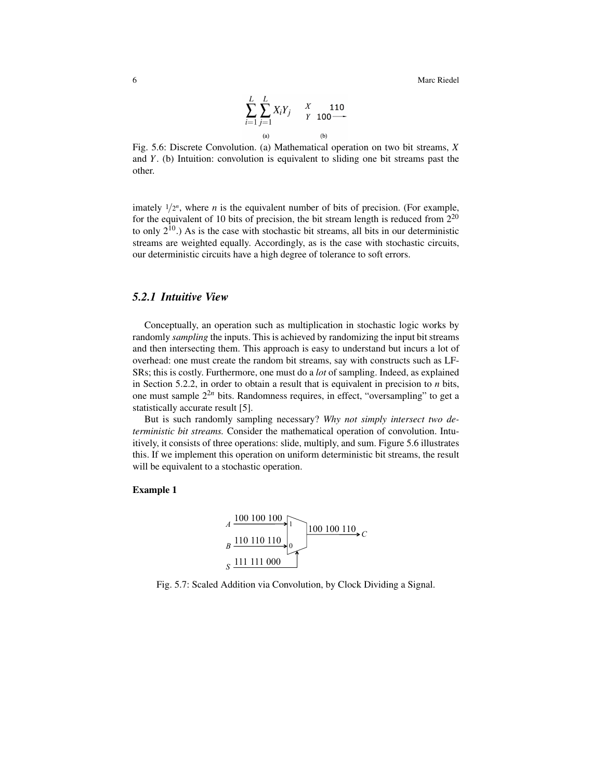$$
\sum_{i=1}^{L} \sum_{j=1}^{L} X_i Y_j \qquad \begin{array}{c} X \\ Y \end{array} \begin{array}{c} 110 \\ 100 \end{array}
$$

Fig. 5.6: Discrete Convolution. (a) Mathematical operation on two bit streams, *X* and *Y*. (b) Intuition: convolution is equivalent to sliding one bit streams past the other.

imately  $\frac{1}{2^n}$ , where *n* is the equivalent number of bits of precision. (For example, for the equivalent of 10 bits of precision, the bit stream length is reduced from  $2^{20}$ to only  $2^{10}$ .) As is the case with stochastic bit streams, all bits in our deterministic streams are weighted equally. Accordingly, as is the case with stochastic circuits, our deterministic circuits have a high degree of tolerance to soft errors.

## *5.2.1 Intuitive View*

Conceptually, an operation such as multiplication in stochastic logic works by randomly *sampling* the inputs. This is achieved by randomizing the input bit streams and then intersecting them. This approach is easy to understand but incurs a lot of overhead: one must create the random bit streams, say with constructs such as LF-SRs; this is costly. Furthermore, one must do a *lot* of sampling. Indeed, as explained in Section 5.2.2, in order to obtain a result that is equivalent in precision to *n* bits, one must sample  $2^{2n}$  bits. Randomness requires, in effect, "oversampling" to get a statistically accurate result [5].

But is such randomly sampling necessary? *Why not simply intersect two deterministic bit streams.* Consider the mathematical operation of convolution. Intuitively, it consists of three operations: slide, multiply, and sum. Figure 5.6 illustrates this. If we implement this operation on uniform deterministic bit streams, the result will be equivalent to a stochastic operation.

#### Example 1



Fig. 5.7: Scaled Addition via Convolution, by Clock Dividing a Signal.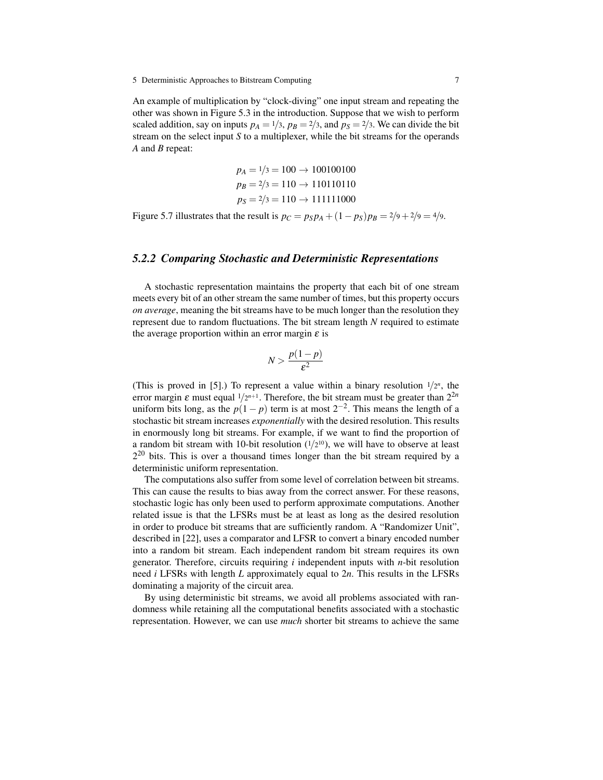An example of multiplication by "clock-diving" one input stream and repeating the other was shown in Figure 5.3 in the introduction. Suppose that we wish to perform scaled addition, say on inputs  $p_A = 1/3$ ,  $p_B = 2/3$ , and  $p_S = 2/3$ . We can divide the bit stream on the select input *S* to a multiplexer, while the bit streams for the operands *A* and *B* repeat:

$$
p_A = 1/3 = 100 \rightarrow 100100100
$$
  
\n
$$
p_B = 2/3 = 110 \rightarrow 110110110
$$
  
\n
$$
p_S = 2/3 = 110 \rightarrow 111111000
$$

Figure 5.7 illustrates that the result is  $p_C = p_S p_A + (1 - p_S) p_B = 2/9 + 2/9 = 4/9$ .

#### *5.2.2 Comparing Stochastic and Deterministic Representations*

A stochastic representation maintains the property that each bit of one stream meets every bit of an other stream the same number of times, but this property occurs *on average*, meaning the bit streams have to be much longer than the resolution they represent due to random fluctuations. The bit stream length *N* required to estimate the average proportion within an error margin  $\varepsilon$  is

$$
N > \frac{p(1-p)}{\varepsilon^2}
$$

(This is proved in [5].) To represent a value within a binary resolution  $1/2^n$ , the error margin  $\varepsilon$  must equal  $1/2^{n+1}$ . Therefore, the bit stream must be greater than  $2^{2n}$ uniform bits long, as the  $p(1-p)$  term is at most  $2^{-2}$ . This means the length of a stochastic bit stream increases *exponentially* with the desired resolution. This results in enormously long bit streams. For example, if we want to find the proportion of a random bit stream with 10-bit resolution  $(1/2^{10})$ , we will have to observe at least  $2^{20}$  bits. This is over a thousand times longer than the bit stream required by a deterministic uniform representation.

The computations also suffer from some level of correlation between bit streams. This can cause the results to bias away from the correct answer. For these reasons, stochastic logic has only been used to perform approximate computations. Another related issue is that the LFSRs must be at least as long as the desired resolution in order to produce bit streams that are sufficiently random. A "Randomizer Unit", described in [22], uses a comparator and LFSR to convert a binary encoded number into a random bit stream. Each independent random bit stream requires its own generator. Therefore, circuits requiring *i* independent inputs with *n*-bit resolution need *i* LFSRs with length *L* approximately equal to 2*n*. This results in the LFSRs dominating a majority of the circuit area.

By using deterministic bit streams, we avoid all problems associated with randomness while retaining all the computational benefits associated with a stochastic representation. However, we can use *much* shorter bit streams to achieve the same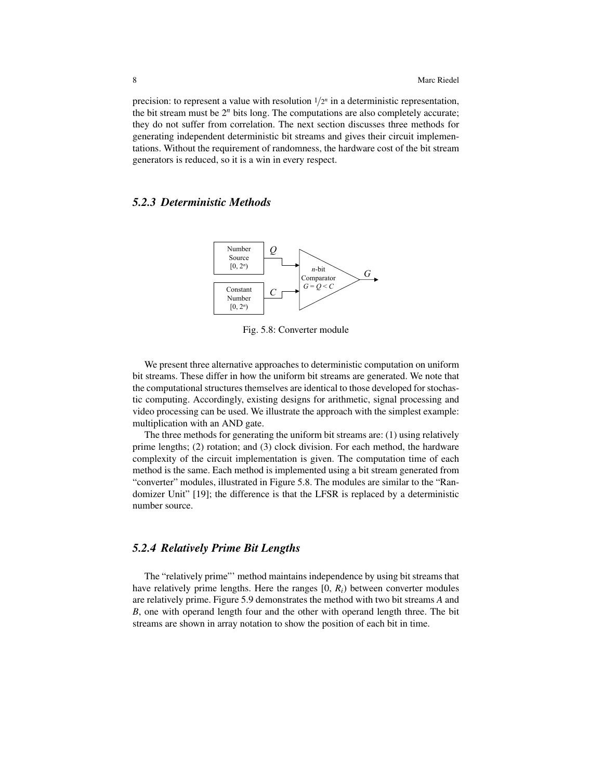precision: to represent a value with resolution  $1/2^n$  in a deterministic representation, the bit stream must be  $2^n$  bits long. The computations are also completely accurate; they do not suffer from correlation. The next section discusses three methods for generating independent deterministic bit streams and gives their circuit implementations. Without the requirement of randomness, the hardware cost of the bit stream generators is reduced, so it is a win in every respect.

#### *5.2.3 Deterministic Methods*



Fig. 5.8: Converter module

We present three alternative approaches to deterministic computation on uniform bit streams. These differ in how the uniform bit streams are generated. We note that the computational structures themselves are identical to those developed for stochastic computing. Accordingly, existing designs for arithmetic, signal processing and video processing can be used. We illustrate the approach with the simplest example: multiplication with an AND gate.

The three methods for generating the uniform bit streams are: (1) using relatively prime lengths; (2) rotation; and (3) clock division. For each method, the hardware complexity of the circuit implementation is given. The computation time of each method is the same. Each method is implemented using a bit stream generated from "converter" modules, illustrated in Figure 5.8. The modules are similar to the "Randomizer Unit" [19]; the difference is that the LFSR is replaced by a deterministic number source.

## *5.2.4 Relatively Prime Bit Lengths*

The "relatively prime"' method maintains independence by using bit streams that have relatively prime lengths. Here the ranges [0, *Ri*) between converter modules are relatively prime. Figure 5.9 demonstrates the method with two bit streams *A* and *B*, one with operand length four and the other with operand length three. The bit streams are shown in array notation to show the position of each bit in time.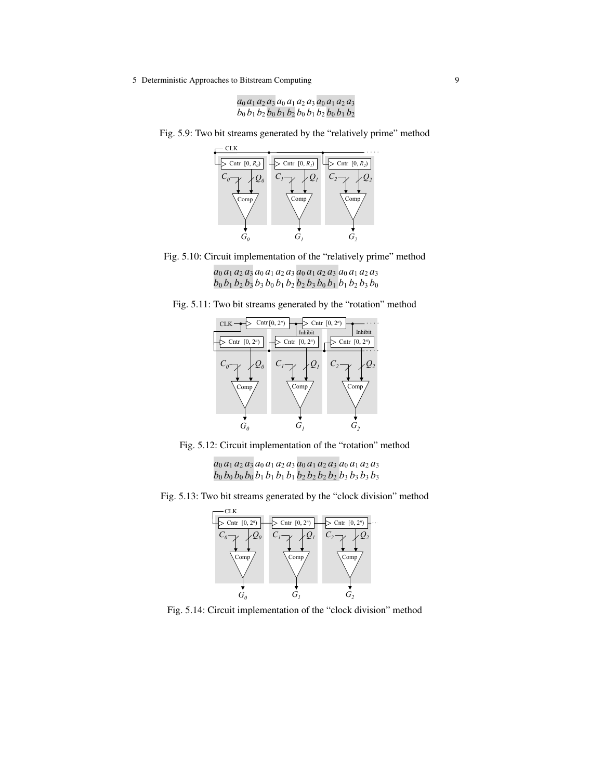5 Deterministic Approaches to Bitstream Computing 9

*a*<sup>0</sup> *a*<sup>1</sup> *a*<sup>2</sup> *a*3 *a*<sup>0</sup> *a*<sup>1</sup> *a*<sup>2</sup> *a*<sup>3</sup> *a*<sup>0</sup> *a*<sup>1</sup> *a*<sup>2</sup> *a*<sup>3</sup> *b*<sup>0</sup> *b*<sup>1</sup> *b*<sup>2</sup> *b*<sup>0</sup> *b*<sup>1</sup> *b*<sup>2</sup> *b*<sup>0</sup> *b*<sup>1</sup> *b*<sup>2</sup> *b*<sup>0</sup> *b*<sup>1</sup> *b*<sup>2</sup>

Fig. 5.9: Two bit streams generated by the "relatively prime" method



Fig. 5.10: Circuit implementation of the "relatively prime" method

- *a*<sup>0</sup> *a*<sup>1</sup> *a*<sup>2</sup> *a*3 *a*<sup>0</sup> *a*<sup>1</sup> *a*<sup>2</sup> *a*<sup>3</sup> *a*<sup>0</sup> *a*<sup>1</sup> *a*<sup>2</sup> *a*3 *a*<sup>0</sup> *a*<sup>1</sup> *a*<sup>2</sup> *a*<sup>3</sup> *b*<sup>0</sup> *b*<sup>1</sup> *b*<sup>2</sup> *b*3 *b*<sup>3</sup> *b*<sup>0</sup> *b*<sup>1</sup> *b*<sup>2</sup> *b*<sup>2</sup> *b*<sup>3</sup> *b*<sup>0</sup> *b*1 *b*<sup>1</sup> *b*<sup>2</sup> *b*<sup>3</sup> *b*<sup>0</sup>
- Fig. 5.11: Two bit streams generated by the "rotation" method



Fig. 5.12: Circuit implementation of the "rotation" method

*a*<sup>0</sup> *a*<sup>1</sup> *a*<sup>2</sup> *a*3 *a*<sup>0</sup> *a*<sup>1</sup> *a*<sup>2</sup> *a*<sup>3</sup> *a*<sup>0</sup> *a*<sup>1</sup> *a*<sup>2</sup> *a*3 *a*<sup>0</sup> *a*<sup>1</sup> *a*<sup>2</sup> *a*<sup>3</sup> *b*<sup>0</sup> *b*<sup>0</sup> *b*<sup>0</sup> *b*0 *b*<sup>1</sup> *b*<sup>1</sup> *b*<sup>1</sup> *b*<sup>1</sup> *b*<sup>2</sup> *b*<sup>2</sup> *b*<sup>2</sup> *b*2 *b*<sup>3</sup> *b*<sup>3</sup> *b*<sup>3</sup> *b*<sup>3</sup>

Fig. 5.13: Two bit streams generated by the "clock division" method



Fig. 5.14: Circuit implementation of the "clock division" method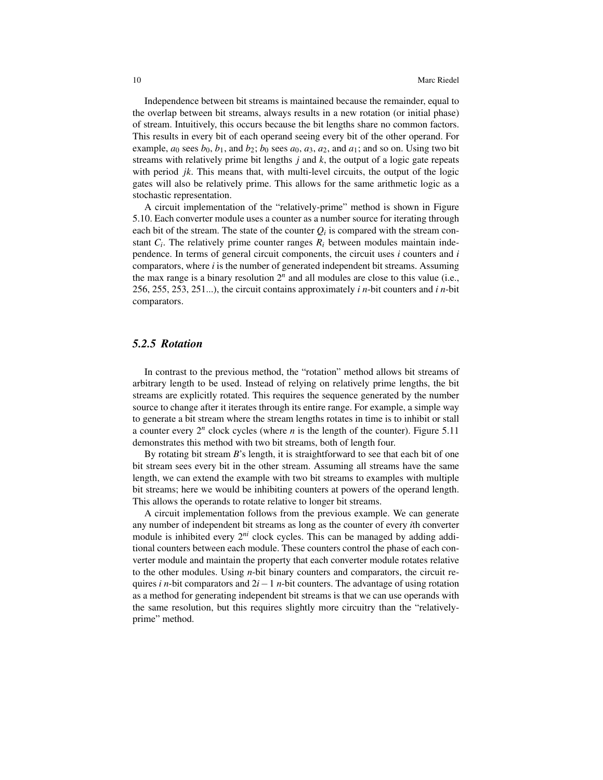Independence between bit streams is maintained because the remainder, equal to the overlap between bit streams, always results in a new rotation (or initial phase) of stream. Intuitively, this occurs because the bit lengths share no common factors. This results in every bit of each operand seeing every bit of the other operand. For example,  $a_0$  sees  $b_0$ ,  $b_1$ , and  $b_2$ ;  $b_0$  sees  $a_0$ ,  $a_3$ ,  $a_2$ , and  $a_1$ ; and so on. Using two bit streams with relatively prime bit lengths *j* and *k*, the output of a logic gate repeats with period *jk*. This means that, with multi-level circuits, the output of the logic gates will also be relatively prime. This allows for the same arithmetic logic as a stochastic representation.

A circuit implementation of the "relatively-prime" method is shown in Figure 5.10. Each converter module uses a counter as a number source for iterating through each bit of the stream. The state of the counter  $Q_i$  is compared with the stream constant  $C_i$ . The relatively prime counter ranges  $R_i$  between modules maintain independence. In terms of general circuit components, the circuit uses *i* counters and *i* comparators, where *i* is the number of generated independent bit streams. Assuming the max range is a binary resolution  $2^n$  and all modules are close to this value (i.e., 256, 255, 253, 251...), the circuit contains approximately *i n*-bit counters and *i n*-bit comparators.

## *5.2.5 Rotation*

In contrast to the previous method, the "rotation" method allows bit streams of arbitrary length to be used. Instead of relying on relatively prime lengths, the bit streams are explicitly rotated. This requires the sequence generated by the number source to change after it iterates through its entire range. For example, a simple way to generate a bit stream where the stream lengths rotates in time is to inhibit or stall a counter every  $2^n$  clock cycles (where *n* is the length of the counter). Figure 5.11 demonstrates this method with two bit streams, both of length four.

By rotating bit stream *B*'s length, it is straightforward to see that each bit of one bit stream sees every bit in the other stream. Assuming all streams have the same length, we can extend the example with two bit streams to examples with multiple bit streams; here we would be inhibiting counters at powers of the operand length. This allows the operands to rotate relative to longer bit streams.

A circuit implementation follows from the previous example. We can generate any number of independent bit streams as long as the counter of every *i*th converter module is inhibited every  $2^{ni}$  clock cycles. This can be managed by adding additional counters between each module. These counters control the phase of each converter module and maintain the property that each converter module rotates relative to the other modules. Using *n*-bit binary counters and comparators, the circuit requires *i n*-bit comparators and 2*i*−1 *n*-bit counters. The advantage of using rotation as a method for generating independent bit streams is that we can use operands with the same resolution, but this requires slightly more circuitry than the "relativelyprime" method.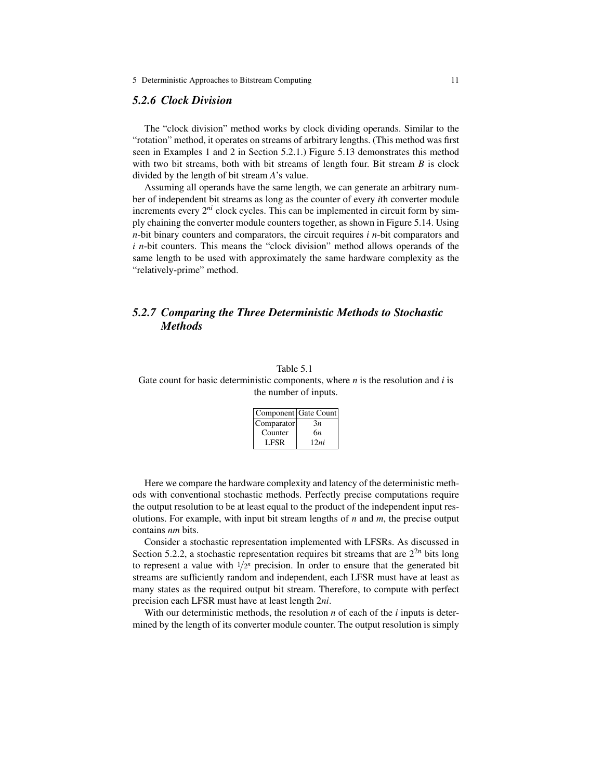#### *5.2.6 Clock Division*

The "clock division" method works by clock dividing operands. Similar to the "rotation" method, it operates on streams of arbitrary lengths. (This method was first seen in Examples 1 and 2 in Section 5.2.1.) Figure 5.13 demonstrates this method with two bit streams, both with bit streams of length four. Bit stream *B* is clock divided by the length of bit stream *A*'s value.

Assuming all operands have the same length, we can generate an arbitrary number of independent bit streams as long as the counter of every *i*th converter module increments every  $2<sup>ni</sup>$  clock cycles. This can be implemented in circuit form by simply chaining the converter module counters together, as shown in Figure 5.14. Using *n*-bit binary counters and comparators, the circuit requires *i n*-bit comparators and *i n*-bit counters. This means the "clock division" method allows operands of the same length to be used with approximately the same hardware complexity as the "relatively-prime" method.

# *5.2.7 Comparing the Three Deterministic Methods to Stochastic Methods*

#### Table 5.1

Gate count for basic deterministic components, where *n* is the resolution and *i* is the number of inputs.

| Component Gate Count |      |
|----------------------|------|
| Comparator           | Зn   |
| Counter              | 6п   |
| LESR.                | 12ni |

Here we compare the hardware complexity and latency of the deterministic methods with conventional stochastic methods. Perfectly precise computations require the output resolution to be at least equal to the product of the independent input resolutions. For example, with input bit stream lengths of *n* and *m*, the precise output contains *nm* bits.

Consider a stochastic representation implemented with LFSRs. As discussed in Section 5.2.2, a stochastic representation requires bit streams that are  $2^{2n}$  bits long to represent a value with  $1/2^n$  precision. In order to ensure that the generated bit streams are sufficiently random and independent, each LFSR must have at least as many states as the required output bit stream. Therefore, to compute with perfect precision each LFSR must have at least length 2*ni*.

With our deterministic methods, the resolution *n* of each of the *i* inputs is determined by the length of its converter module counter. The output resolution is simply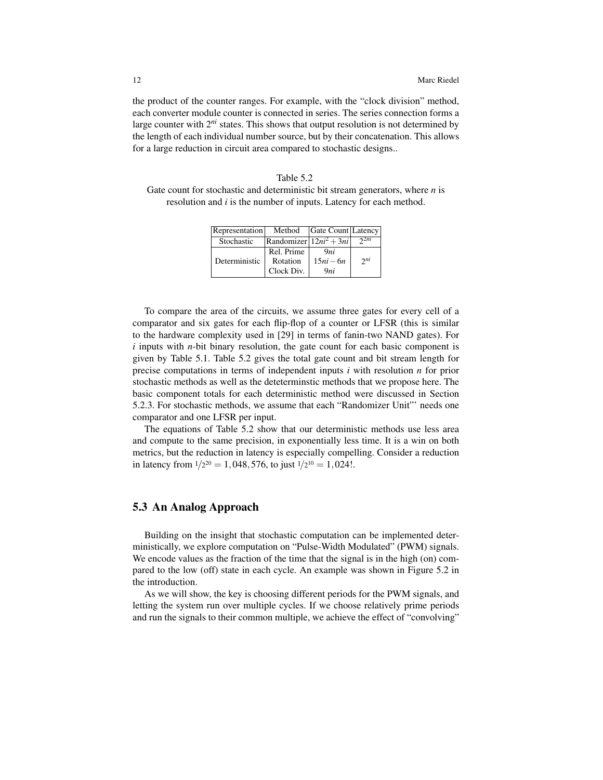the product of the counter ranges. For example, with the "clock division" method, each converter module counter is connected in series. The series connection forms a large counter with  $2^{ni}$  states. This shows that output resolution is not determined by the length of each individual number source, but by their concatenation. This allows for a large reduction in circuit area compared to stochastic designs..

| Table 5.2                                                                            |
|--------------------------------------------------------------------------------------|
| Gate count for stochastic and deterministic bit stream generators, where <i>n</i> is |
| resolution and <i>i</i> is the number of inputs. Latency for each method.            |

| Representation | Method                      | Gate Count Latency |     |
|----------------|-----------------------------|--------------------|-----|
| Stochastic     | Randomizer $ 12ni^2 + 3ni $ |                    | 2ni |
|                | Rel. Prime                  | 9ni                |     |
| Deterministic  | Rotation                    | $15ni-6n$          | 2ni |
|                | Clock Div.                  | 9ni                |     |

To compare the area of the circuits, we assume three gates for every cell of a comparator and six gates for each flip-flop of a counter or LFSR (this is similar to the hardware complexity used in [29] in terms of fanin-two NAND gates). For *i* inputs with *n*-bit binary resolution, the gate count for each basic component is given by Table 5.1. Table 5.2 gives the total gate count and bit stream length for precise computations in terms of independent inputs *i* with resolution *n* for prior stochastic methods as well as the deteterminstic methods that we propose here. The basic component totals for each deterministic method were discussed in Section 5.2.3. For stochastic methods, we assume that each "Randomizer Unit"' needs one comparator and one LFSR per input.

The equations of Table 5.2 show that our deterministic methods use less area and compute to the same precision, in exponentially less time. It is a win on both metrics, but the reduction in latency is especially compelling. Consider a reduction in latency from  $1/2^{20} = 1,048,576$ , to just  $1/2^{10} = 1,024!$ .

# 5.3 An Analog Approach

Building on the insight that stochastic computation can be implemented deterministically, we explore computation on "Pulse-Width Modulated" (PWM) signals. We encode values as the fraction of the time that the signal is in the high (on) compared to the low (off) state in each cycle. An example was shown in Figure 5.2 in the introduction.

As we will show, the key is choosing different periods for the PWM signals, and letting the system run over multiple cycles. If we choose relatively prime periods and run the signals to their common multiple, we achieve the effect of "convolving"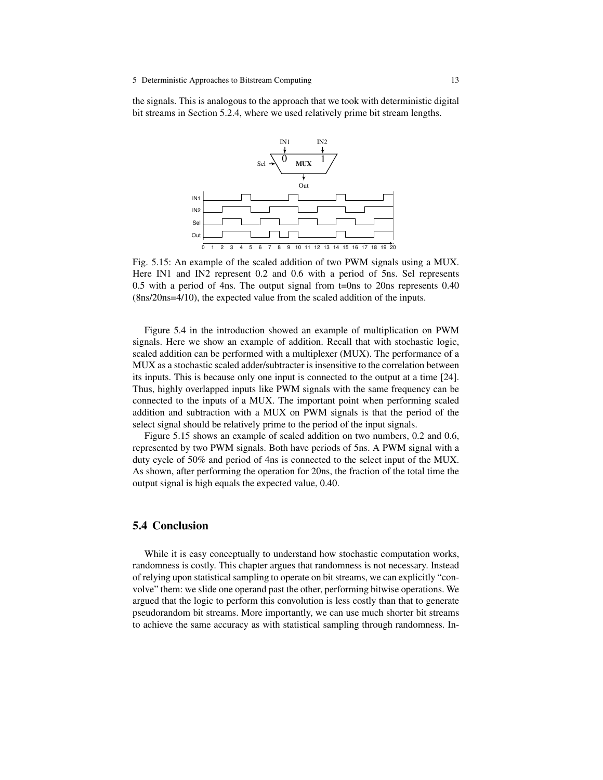the signals. This is analogous to the approach that we took with deterministic digital bit streams in Section 5.2.4, where we used relatively prime bit stream lengths.



Fig. 5.15: An example of the scaled addition of two PWM signals using a MUX. Here IN1 and IN2 represent 0.2 and 0.6 with a period of 5ns. Sel represents 0.5 with a period of 4ns. The output signal from t=0ns to 20ns represents 0.40 (8ns/20ns=4/10), the expected value from the scaled addition of the inputs.

Figure 5.4 in the introduction showed an example of multiplication on PWM signals. Here we show an example of addition. Recall that with stochastic logic, scaled addition can be performed with a multiplexer (MUX). The performance of a MUX as a stochastic scaled adder/subtracter is insensitive to the correlation between its inputs. This is because only one input is connected to the output at a time [24]. Thus, highly overlapped inputs like PWM signals with the same frequency can be connected to the inputs of a MUX. The important point when performing scaled addition and subtraction with a MUX on PWM signals is that the period of the select signal should be relatively prime to the period of the input signals.

Figure 5.15 shows an example of scaled addition on two numbers, 0.2 and 0.6, represented by two PWM signals. Both have periods of 5ns. A PWM signal with a duty cycle of 50% and period of 4ns is connected to the select input of the MUX. As shown, after performing the operation for 20ns, the fraction of the total time the output signal is high equals the expected value, 0.40.

# 5.4 Conclusion

While it is easy conceptually to understand how stochastic computation works, randomness is costly. This chapter argues that randomness is not necessary. Instead of relying upon statistical sampling to operate on bit streams, we can explicitly "convolve" them: we slide one operand past the other, performing bitwise operations. We argued that the logic to perform this convolution is less costly than that to generate pseudorandom bit streams. More importantly, we can use much shorter bit streams to achieve the same accuracy as with statistical sampling through randomness. In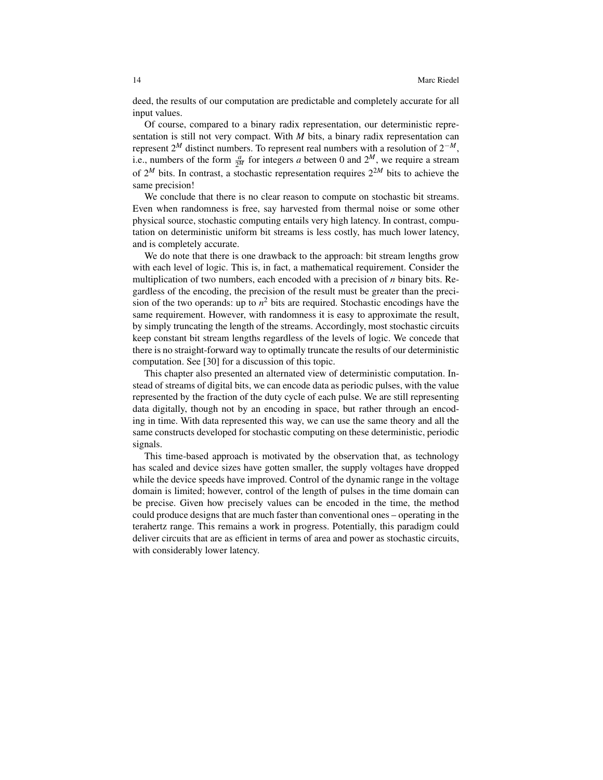deed, the results of our computation are predictable and completely accurate for all input values.

Of course, compared to a binary radix representation, our deterministic representation is still not very compact. With *M* bits, a binary radix representation can represent 2*<sup>M</sup>* distinct numbers. To represent real numbers with a resolution of 2−*M*, i.e., numbers of the form  $\frac{a}{2^M}$  for integers *a* between 0 and  $2^M$ , we require a stream of  $2^M$  bits. In contrast, a stochastic representation requires  $2^{2M}$  bits to achieve the same precision!

We conclude that there is no clear reason to compute on stochastic bit streams. Even when randomness is free, say harvested from thermal noise or some other physical source, stochastic computing entails very high latency. In contrast, computation on deterministic uniform bit streams is less costly, has much lower latency, and is completely accurate.

We do note that there is one drawback to the approach: bit stream lengths grow with each level of logic. This is, in fact, a mathematical requirement. Consider the multiplication of two numbers, each encoded with a precision of *n* binary bits. Regardless of the encoding, the precision of the result must be greater than the precision of the two operands: up to  $n^2$  bits are required. Stochastic encodings have the same requirement. However, with randomness it is easy to approximate the result, by simply truncating the length of the streams. Accordingly, most stochastic circuits keep constant bit stream lengths regardless of the levels of logic. We concede that there is no straight-forward way to optimally truncate the results of our deterministic computation. See [30] for a discussion of this topic.

This chapter also presented an alternated view of deterministic computation. Instead of streams of digital bits, we can encode data as periodic pulses, with the value represented by the fraction of the duty cycle of each pulse. We are still representing data digitally, though not by an encoding in space, but rather through an encoding in time. With data represented this way, we can use the same theory and all the same constructs developed for stochastic computing on these deterministic, periodic signals.

This time-based approach is motivated by the observation that, as technology has scaled and device sizes have gotten smaller, the supply voltages have dropped while the device speeds have improved. Control of the dynamic range in the voltage domain is limited; however, control of the length of pulses in the time domain can be precise. Given how precisely values can be encoded in the time, the method could produce designs that are much faster than conventional ones – operating in the terahertz range. This remains a work in progress. Potentially, this paradigm could deliver circuits that are as efficient in terms of area and power as stochastic circuits, with considerably lower latency.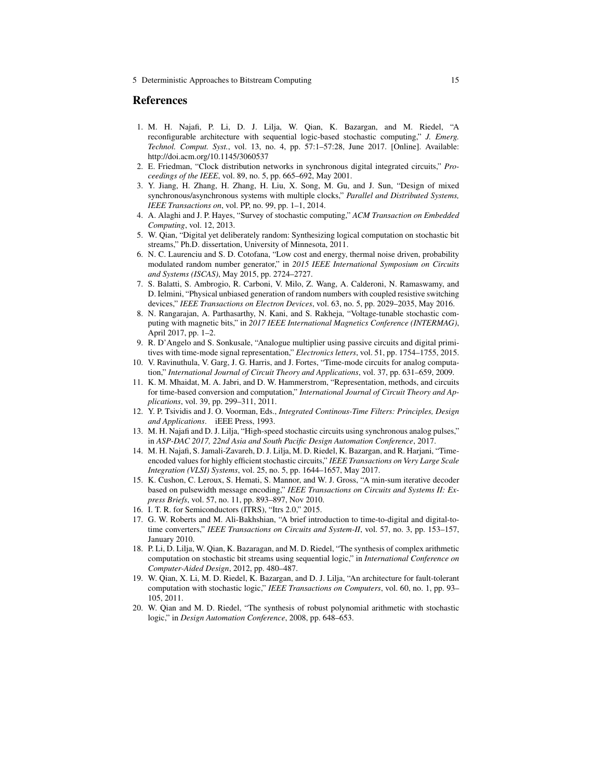#### References

- 1. M. H. Najafi, P. Li, D. J. Lilja, W. Qian, K. Bazargan, and M. Riedel, "A reconfigurable architecture with sequential logic-based stochastic computing," *J. Emerg. Technol. Comput. Syst.*, vol. 13, no. 4, pp. 57:1–57:28, June 2017. [Online]. Available: http://doi.acm.org/10.1145/3060537
- 2. E. Friedman, "Clock distribution networks in synchronous digital integrated circuits," *Proceedings of the IEEE*, vol. 89, no. 5, pp. 665–692, May 2001.
- 3. Y. Jiang, H. Zhang, H. Zhang, H. Liu, X. Song, M. Gu, and J. Sun, "Design of mixed synchronous/asynchronous systems with multiple clocks," *Parallel and Distributed Systems, IEEE Transactions on*, vol. PP, no. 99, pp. 1–1, 2014.
- 4. A. Alaghi and J. P. Hayes, "Survey of stochastic computing," *ACM Transaction on Embedded Computing*, vol. 12, 2013.
- 5. W. Qian, "Digital yet deliberately random: Synthesizing logical computation on stochastic bit streams," Ph.D. dissertation, University of Minnesota, 2011.
- 6. N. C. Laurenciu and S. D. Cotofana, "Low cost and energy, thermal noise driven, probability modulated random number generator," in *2015 IEEE International Symposium on Circuits and Systems (ISCAS)*, May 2015, pp. 2724–2727.
- 7. S. Balatti, S. Ambrogio, R. Carboni, V. Milo, Z. Wang, A. Calderoni, N. Ramaswamy, and D. Ielmini, "Physical unbiased generation of random numbers with coupled resistive switching devices," *IEEE Transactions on Electron Devices*, vol. 63, no. 5, pp. 2029–2035, May 2016.
- 8. N. Rangarajan, A. Parthasarthy, N. Kani, and S. Rakheja, "Voltage-tunable stochastic computing with magnetic bits," in *2017 IEEE International Magnetics Conference (INTERMAG)*, April 2017, pp. 1–2.
- 9. R. D'Angelo and S. Sonkusale, "Analogue multiplier using passive circuits and digital primitives with time-mode signal representation," *Electronics letters*, vol. 51, pp. 1754–1755, 2015.
- 10. V. Ravinuthula, V. Garg, J. G. Harris, and J. Fortes, "Time-mode circuits for analog computation," *International Journal of Circuit Theory and Applications*, vol. 37, pp. 631–659, 2009.
- 11. K. M. Mhaidat, M. A. Jabri, and D. W. Hammerstrom, "Representation, methods, and circuits for time-based conversion and computation," *International Journal of Circuit Theory and Applications*, vol. 39, pp. 299–311, 2011.
- 12. Y. P. Tsividis and J. O. Voorman, Eds., *Integrated Continous-Time Filters: Principles, Design and Applications*. iEEE Press, 1993.
- 13. M. H. Najafi and D. J. Lilja, "High-speed stochastic circuits using synchronous analog pulses," in *ASP-DAC 2017, 22nd Asia and South Pacific Design Automation Conference*, 2017.
- 14. M. H. Najafi, S. Jamali-Zavareh, D. J. Lilja, M. D. Riedel, K. Bazargan, and R. Harjani, "Timeencoded values for highly efficient stochastic circuits," *IEEE Transactions on Very Large Scale Integration (VLSI) Systems*, vol. 25, no. 5, pp. 1644–1657, May 2017.
- 15. K. Cushon, C. Leroux, S. Hemati, S. Mannor, and W. J. Gross, "A min-sum iterative decoder based on pulsewidth message encoding," *IEEE Transactions on Circuits and Systems II: Express Briefs*, vol. 57, no. 11, pp. 893–897, Nov 2010.
- 16. I. T. R. for Semiconductors (ITRS), "Itrs 2.0," 2015.
- 17. G. W. Roberts and M. Ali-Bakhshian, "A brief introduction to time-to-digital and digital-totime converters," *IEEE Transactions on Circuits and System-II*, vol. 57, no. 3, pp. 153–157, January 2010.
- 18. P. Li, D. Lilja, W. Qian, K. Bazaragan, and M. D. Riedel, "The synthesis of complex arithmetic computation on stochastic bit streams using sequential logic," in *International Conference on Computer-Aided Design*, 2012, pp. 480–487.
- 19. W. Qian, X. Li, M. D. Riedel, K. Bazargan, and D. J. Lilja, "An architecture for fault-tolerant computation with stochastic logic," *IEEE Transactions on Computers*, vol. 60, no. 1, pp. 93– 105, 2011.
- 20. W. Qian and M. D. Riedel, "The synthesis of robust polynomial arithmetic with stochastic logic," in *Design Automation Conference*, 2008, pp. 648–653.